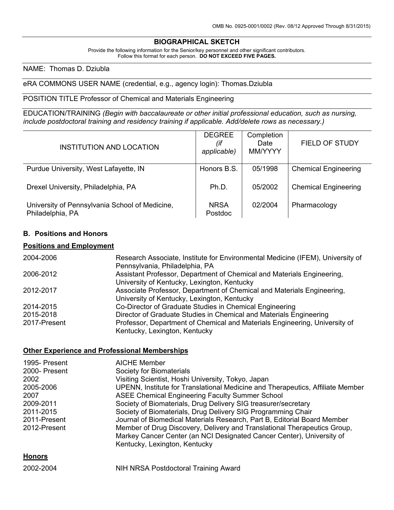## **BIOGRAPHICAL SKETCH**

Provide the following information for the Senior/key personnel and other significant contributors. Follow this format for each person. DO NOT EXCEED FIVE PAGES.

#### NAME: Thomas D. Dziubla

### eRA COMMONS USER NAME (credential, e.g., agency login): Thomas.Dziubla

#### POSITION TITLE Professor of Chemical and Materials Engineering

EDUCATION/TRAINING *(Begin with baccalaureate or other initial professional education, such as nursing, include postdoctoral training and residency training if applicable. Add/delete rows as necessary.)*

| INSTITUTION AND LOCATION                                           | <b>DEGREE</b><br>(if<br>applicable) | Completion<br>Date<br>MM/YYYY | <b>FIELD OF STUDY</b>       |
|--------------------------------------------------------------------|-------------------------------------|-------------------------------|-----------------------------|
| Purdue University, West Lafayette, IN                              | Honors B.S.                         | 05/1998                       | <b>Chemical Engineering</b> |
| Drexel University, Philadelphia, PA                                | Ph.D.                               | 05/2002                       | <b>Chemical Engineering</b> |
| University of Pennsylvania School of Medicine,<br>Philadelphia, PA | <b>NRSA</b><br>Postdoc              | 02/2004                       | Pharmacology                |

## **B. Positions and Honors**

### **Positions and Employment**

| 2004-2006    | Research Associate, Institute for Environmental Medicine (IFEM), University of |
|--------------|--------------------------------------------------------------------------------|
|              | Pennsylvania, Philadelphia, PA                                                 |
| 2006-2012    | Assistant Professor, Department of Chemical and Materials Engineering,         |
|              | University of Kentucky, Lexington, Kentucky                                    |
| 2012-2017    | Associate Professor, Department of Chemical and Materials Engineering,         |
|              | University of Kentucky, Lexington, Kentucky                                    |
| 2014-2015    | Co-Director of Graduate Studies in Chemical Engineering                        |
| 2015-2018    | Director of Graduate Studies in Chemical and Materials Engineering             |
| 2017-Present | Professor, Department of Chemical and Materials Engineering, University of     |
|              | Kentucky, Lexington, Kentucky                                                  |

#### **Other Experience and Professional Memberships**

| 1995- Present<br>2000- Present<br>2002<br>2005-2006<br>2007<br>2009-2011<br>2011-2015<br>2011-Present<br>2012-Present | <b>AICHE Member</b><br>Society for Biomaterials<br>Visiting Scientist, Hoshi University, Tokyo, Japan<br>UPENN, Institute for Translational Medicine and Therapeutics, Affiliate Member<br><b>ASEE Chemical Engineering Faculty Summer School</b><br>Society of Biomaterials, Drug Delivery SIG treasurer/secretary<br>Society of Biomaterials, Drug Delivery SIG Programming Chair<br>Journal of Biomedical Materials Research, Part B, Editorial Board Member<br>Member of Drug Discovery, Delivery and Translational Therapeutics Group,<br>Markey Cancer Center (an NCI Designated Cancer Center), University of<br>Kentucky, Lexington, Kentucky |
|-----------------------------------------------------------------------------------------------------------------------|-------------------------------------------------------------------------------------------------------------------------------------------------------------------------------------------------------------------------------------------------------------------------------------------------------------------------------------------------------------------------------------------------------------------------------------------------------------------------------------------------------------------------------------------------------------------------------------------------------------------------------------------------------|
| <b>Honors</b>                                                                                                         |                                                                                                                                                                                                                                                                                                                                                                                                                                                                                                                                                                                                                                                       |

2002-2004 NIH NRSA Postdoctoral Training Award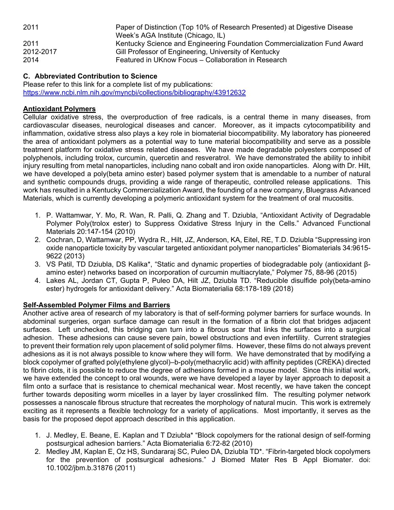| 2011      | Paper of Distinction (Top 10% of Research Presented) at Digestive Disease<br>Week's AGA Institute (Chicago, IL) |
|-----------|-----------------------------------------------------------------------------------------------------------------|
| 2011      | Kentucky Science and Engineering Foundation Commercialization Fund Award                                        |
| 2012-2017 | Gill Professor of Engineering, University of Kentucky                                                           |
| 2014      | Featured in UKnow Focus - Collaboration in Research                                                             |

## **C. Abbreviated Contribution to Science**

Please refer to this link for a complete list of my publications: https://www.ncbi.nlm.nih.gov/myncbi/collections/bibliography/43912632

## **Antioxidant Polymers**

Cellular oxidative stress, the overproduction of free radicals, is a central theme in many diseases, from cardiovascular diseases, neurological diseases and cancer. Moreover, as it impacts cytocompatibility and inflammation, oxidative stress also plays a key role in biomaterial biocompatibility. My laboratory has pioneered the area of antioxidant polymers as a potential way to tune material biocompatibility and serve as a possible treatment platform for oxidative stress related diseases. We have made degradable polyesters composed of polyphenols, including trolox, curcumin, quercetin and resveratrol. We have demonstrated the ability to inhibit injury resulting from metal nanoparticles, including nano cobalt and iron oxide nanoparticles. Along with Dr. Hilt, we have developed a poly(beta amino ester) based polymer system that is amendable to a number of natural and synthetic compounds drugs, providing a wide range of therapeutic, controlled release applications. This work has resulted in a Kentucky Commercialization Award, the founding of a new company, Bluegrass Advanced Materials, which is currently developing a polymeric antioxidant system for the treatment of oral mucositis.

- 1. P. Wattamwar, Y. Mo, R. Wan, R. Palli, Q. Zhang and T. Dziubla, "Antioxidant Activity of Degradable Polymer Poly(trolox ester) to Suppress Oxidative Stress Injury in the Cells." Advanced Functional Materials 20:147-154 (2010)
- 2. Cochran, D, Wattamwar, PP, Wydra R., Hilt, JZ, Anderson, KA, Eitel, RE, T.D. Dziubla "Suppressing iron oxide nanoparticle toxicity by vascular targeted antioxidant polymer nanoparticles" Biomaterials 34:9615- 9622 (2013)
- 3. VS Patil, TD Dziubla, DS Kalika\*, "Static and dynamic properties of biodegradable poly (antioxidant βamino ester) networks based on incorporation of curcumin multiacrylate," Polymer 75, 88-96 (2015)
- 4. Lakes AL, Jordan CT, Gupta P, Puleo DA, Hilt JZ, Dziubla TD. "Reducible disulfide poly(beta-amino ester) hydrogels for antioxidant delivery." Acta Biomaterialia 68:178-189 (2018)

## **Self-Assembled Polymer Films and Barriers**

Another active area of research of my laboratory is that of self-forming polymer barriers for surface wounds. In abdominal surgeries, organ surface damage can result in the formation of a fibrin clot that bridges adjacent surfaces. Left unchecked, this bridging can turn into a fibrous scar that links the surfaces into a surgical adhesion. These adhesions can cause severe pain, bowel obstructions and even infertility. Current strategies to prevent their formation rely upon placement of solid polymer films. However, these films do not always prevent adhesions as it is not always possible to know where they will form. We have demonstrated that by modifying a block copolymer of grafted poly(ethylene glycol)–b-poly(methacrylic acid) with affinity peptides (CREKA) directed to fibrin clots, it is possible to reduce the degree of adhesions formed in a mouse model. Since this initial work, we have extended the concept to oral wounds, were we have developed a layer by layer approach to deposit a film onto a surface that is resistance to chemical mechanical wear. Most recently, we have taken the concept further towards depositing worm micelles in a layer by layer crosslinked film. The resulting polymer network possesses a nanoscale fibrous structure that recreates the morphology of natural mucin. This work is extremely exciting as it represents a flexible technology for a variety of applications. Most importantly, it serves as the basis for the proposed depot approach described in this application.

- 1. J. Medley, E. Beane, E. Kaplan and T Dziubla\* "Block copolymers for the rational design of self-forming postsurgical adhesion barriers." Acta Biomaterialia 6:72-82 (2010)
- 2. Medley JM, Kaplan E, Oz HS, Sundararaj SC, Puleo DA, Dziubla TD\*. "Fibrin-targeted block copolymers for the prevention of postsurgical adhesions." J Biomed Mater Res B Appl Biomater. doi: 10.1002/jbm.b.31876 (2011)